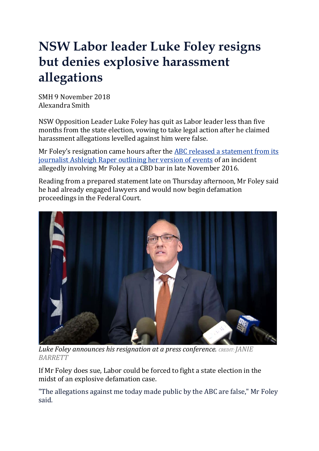## **NSW Labor leader Luke Foley resigns but denies explosive harassment allegations**

SMH 9 November 2018 Alexandra Smith

NSW Opposition Leader Luke Foley has quit as Labor leader less than five months from the state election, vowing to take legal action after he claimed harassment allegations levelled against him were false.

Mr Foley's resignation came hours after the ABC released a [statement](https://www.smh.com.au/national/nsw/abc-journalist-releases-explosive-statement-about-luke-foley-20181108-p50erf.html) from its [journalist](https://www.smh.com.au/national/nsw/abc-journalist-releases-explosive-statement-about-luke-foley-20181108-p50erf.html) Ashleigh Raper outlining her version of events of an incident allegedly involving Mr Foley at a CBD bar in late November 2016.

Reading from a prepared statement late on Thursday afternoon, Mr Foley said he had already engaged lawyers and would now begin defamation proceedings in the Federal Court.



*Luke Foley announces his resignation at a press conference. CREDIT:JANIE BARRETT*

If Mr Foley does sue, Labor could be forced to fight a state election in the midst of an explosive defamation case.

"The allegations against me today made public by the ABC are false," Mr Foley said.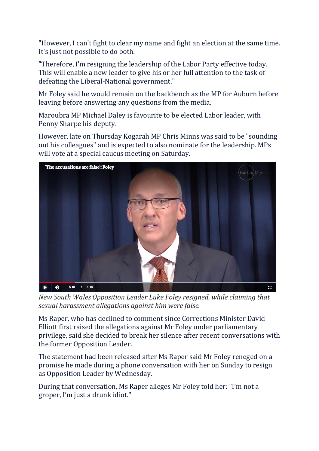"However, I can't fight to clear my name and fight an election at the same time. It's just not possible to do both.

"Therefore, I'm resigning the leadership of the Labor Party effective today. This will enable a new leader to give his or her full attention to the task of defeating the Liberal-National government."

Mr Foley said he would remain on the backbench as the MP for Auburn before leaving before answering any questions from the media.

Maroubra MP Michael Daley is favourite to be elected Labor leader, with Penny Sharpe his deputy.

However, late on Thursday Kogarah MP Chris Minns was said to be "sounding out his colleagues" and is expected to also nominate for the leadership. MPs will vote at a special caucus meeting on Saturday.



*New South Wales Opposition Leader Luke Foley resigned, while claiming that sexual harassment allegations against him were false.*

Ms Raper, who has declined to comment since Corrections Minister David Elliott first raised the allegations against Mr Foley under parliamentary privilege, said she decided to break her silence after recent conversations with the former Opposition Leader.

The statement had been released after Ms Raper said Mr Foley reneged on a promise he made during a phone conversation with her on Sunday to resign as Opposition Leader by Wednesday.

During that conversation, Ms Raper alleges Mr Foley told her: "I'm not a groper, I'm just a drunk idiot."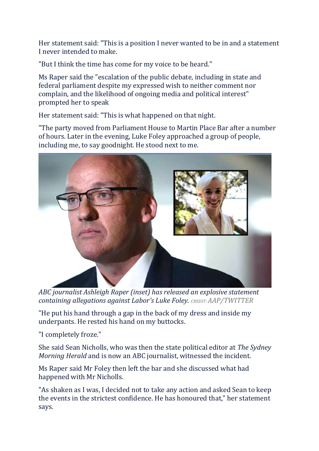Her statement said: "This is a position I never wanted to be in and a statement I never intended to make.

"But I think the time has come for my voice to be heard."

Ms Raper said the "escalation of the public debate, including in state and federal parliament despite my expressed wish to neither comment nor complain, and the likelihood of ongoing media and political interest" prompted her to speak

Her statement said: "This is what happened on that night.

"The party moved from Parliament House to Martin Place Bar after a number of hours. Later in the evening, Luke Foley approached a group of people, including me, to say goodnight. He stood next to me.



*ABC journalist Ashleigh Raper (inset) has released an explosive statement containing allegations against Labor's Luke Foley. CREDIT:AAP/TWITTER*

"He put his hand through a gap in the back of my dress and inside my underpants. He rested his hand on my buttocks.

"I completely froze."

She said Sean Nicholls, who was then the state political editor at *The Sydney Morning Herald* and is now an ABC journalist, witnessed the incident.

Ms Raper said Mr Foley then left the bar and she discussed what had happened with Mr Nicholls.

"As shaken as I was, I decided not to take any action and asked Sean to keep the events in the strictest confidence. He has honoured that," her statement says.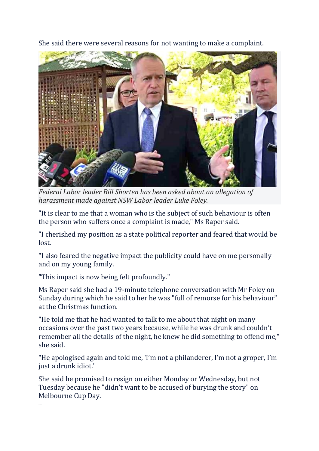She said there were several reasons for not wanting to make a complaint.



*Federal Labor leader Bill Shorten has been asked about an allegation of harassment made against NSW Labor leader Luke Foley.*

"It is clear to me that a woman who is the subject of such behaviour is often the person who suffers once a complaint is made," Ms Raper said.

"I cherished my position as a state political reporter and feared that would be lost.

"I also feared the negative impact the publicity could have on me personally and on my young family.

"This impact is now being felt profoundly."

Ms Raper said she had a 19-minute telephone conversation with Mr Foley on Sunday during which he said to her he was "full of remorse for his behaviour" at the Christmas function.

"He told me that he had wanted to talk to me about that night on many occasions over the past two years because, while he was drunk and couldn't remember all the details of the night, he knew he did something to offend me," she said.

"He apologised again and told me, 'I'm not a philanderer, I'm not a groper, I'm just a drunk idiot.'

She said he promised to resign on either Monday or Wednesday, but not Tuesday because he "didn't want to be accused of burying the story" on Melbourne Cup Day.